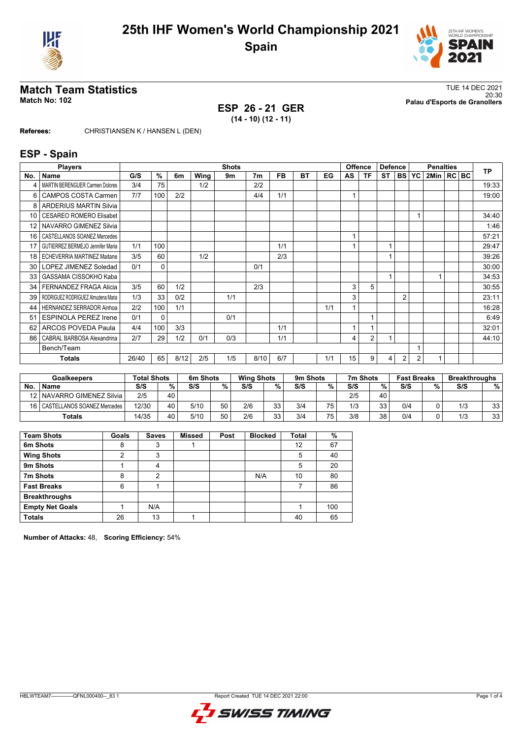



# **ESP 26 - 21 GER (14 - 10) (12 - 11)**

**Match Team Statistics** TUE 14 DEC 2021 20:30 **Match No: 102 Palau d'Esports de Granollers**

**Referees:** CHRISTIANSEN K / HANSEN L (DEN)

### **ESP - Spain**

|                 | <b>Players</b>                     |       |              |      |      | <b>Shots</b> |                |           |           |     |    | <b>Offence</b><br><b>Defence</b> |           |                | <b>Penalties</b> |          |  |     | <b>TP</b> |
|-----------------|------------------------------------|-------|--------------|------|------|--------------|----------------|-----------|-----------|-----|----|----------------------------------|-----------|----------------|------------------|----------|--|-----|-----------|
| No.             | <b>Name</b>                        | G/S   | %            | 6m   | Wing | 9m           | 7 <sub>m</sub> | <b>FB</b> | <b>BT</b> | EG  | AS | ΤF                               | <b>ST</b> | <b>BS</b>      | YC               | 2Min  RC |  | BC. |           |
|                 | MARTIN BERENGUER Carmen Dolores    | 3/4   | 75           |      | 1/2  |              | 2/2            |           |           |     |    |                                  |           |                |                  |          |  |     | 19:33     |
| 6               | CAMPOS COSTA Carmen                | 7/7   | 100          | 2/2  |      |              | 4/4            | 1/1       |           |     | 1  |                                  |           |                |                  |          |  |     | 19:00     |
| 8               | <b>ARDERIUS MARTIN Silvia</b>      |       |              |      |      |              |                |           |           |     |    |                                  |           |                |                  |          |  |     |           |
| 10              | <b>CESAREO ROMERO Elisabet</b>     |       |              |      |      |              |                |           |           |     |    |                                  |           |                |                  |          |  |     | 34:40     |
| 12              | NAVARRO GIMENEZ Silvia             |       |              |      |      |              |                |           |           |     |    |                                  |           |                |                  |          |  |     | 1:46      |
| 16              | CASTELLANOS SOANEZ Mercedes        |       |              |      |      |              |                |           |           |     | 1  |                                  |           |                |                  |          |  |     | 57:21     |
| 17              | GUTIERREZ BERMEJO Jennifer Maria   | 1/1   | 100          |      |      |              |                | 1/1       |           |     |    |                                  | 1         |                |                  |          |  |     | 29:47     |
| 18              | ECHEVERRIA MARTINEZ Maitane        | 3/5   | 60           |      | 1/2  |              |                | 2/3       |           |     |    |                                  | и         |                |                  |          |  |     | 39:26     |
| 30 <sup>1</sup> | LOPEZ JIMENEZ Soledad              | 0/1   | $\Omega$     |      |      |              | 0/1            |           |           |     |    |                                  |           |                |                  |          |  |     | 30:00     |
| 33              | GASSAMA CISSOKHO Kaba              |       |              |      |      |              |                |           |           |     |    |                                  | 1         |                |                  |          |  |     | 34:53     |
| 34 <sup>1</sup> | FERNANDEZ FRAGA Alicia             | 3/5   | 60           | 1/2  |      |              | 2/3            |           |           |     | 3  | 5                                |           |                |                  |          |  |     | 30:55     |
| 39              | RODRIGUEZ RODRIGUEZ Almudena Maria | 1/3   | 33           | 0/2  |      | 1/1          |                |           |           |     | 3  |                                  |           | $\overline{2}$ |                  |          |  |     | 23:11     |
| 44              | HERNANDEZ SERRADOR Ainhoa          | 2/2   | 100          | 1/1  |      |              |                |           |           | 1/1 | 1  |                                  |           |                |                  |          |  |     | 16:28     |
| 51              | <b>ESPINOLA PEREZ Irene</b>        | 0/1   | $\mathbf{0}$ |      |      | 0/1          |                |           |           |     |    |                                  |           |                |                  |          |  |     | 6:49      |
| 62              | ARCOS POVEDA Paula                 | 4/4   | 100          | 3/3  |      |              |                | 1/1       |           |     |    |                                  |           |                |                  |          |  |     | 32:01     |
| 86              | CABRAL BARBOSA Alexandrina         | 2/7   | 29           | 1/2  | 0/1  | 0/3          |                | 1/1       |           |     | 4  | $\overline{2}$                   | 1         |                |                  |          |  |     | 44:10     |
|                 | Bench/Team                         |       |              |      |      |              |                |           |           |     |    |                                  |           |                |                  |          |  |     |           |
|                 | <b>Totals</b>                      | 26/40 | 65           | 8/12 | 2/5  | 1/5          | 8/10           | 6/7       |           | 1/1 | 15 | 9                                | 4         | 2              | $\overline{2}$   |          |  |     |           |

|           | <b>Goalkeepers</b>               |       | <b>Total Shots</b> |      | 6m Shots |     | <b>Wing Shots</b> |     | 9m Shots        |     | 7m Shots |     | <b>Fast Breaks</b> |     | <b>Breakthroughs</b> |  |
|-----------|----------------------------------|-------|--------------------|------|----------|-----|-------------------|-----|-----------------|-----|----------|-----|--------------------|-----|----------------------|--|
| <b>No</b> | <b>Name</b>                      | S/S   | %                  | S/S  | %.       | S/S | %                 | S/S | %               | S/S | %        | S/S | %                  | S/S | %                    |  |
|           | 12   NAVARRO GIMENEZ Silvia      | 2/5   | 40                 |      |          |     |                   |     |                 | 2/5 | 40       |     |                    |     |                      |  |
|           | 16   CASTELLANOS SOANEZ Mercedes | 12/30 | 40                 | 5/10 | 50       | 2/6 | 33                | 3/4 | 75.             | 1/3 | 33       | 0/4 |                    | 1/3 | 33                   |  |
|           | Totals                           | 14/35 | 40                 | 5/10 | 50       | 2/6 | 33                | 3/4 | 75 <sub>1</sub> | 3/8 | 38       | 0/4 |                    | 1/3 | 33                   |  |

| <b>Team Shots</b>      | Goals | <b>Saves</b> | <b>Missed</b> | Post | <b>Blocked</b> | <b>Total</b> | %   |
|------------------------|-------|--------------|---------------|------|----------------|--------------|-----|
| 6m Shots               | 8     | 3            |               |      |                | 12           | 67  |
| <b>Wing Shots</b>      | ົ     | 3            |               |      |                | 5            | 40  |
| 9m Shots               |       | 4            |               |      |                | 5            | 20  |
| 7m Shots               | 8     | 2            |               |      | N/A            | 10           | 80  |
| <b>Fast Breaks</b>     | 6     |              |               |      |                |              | 86  |
| <b>Breakthroughs</b>   |       |              |               |      |                |              |     |
| <b>Empty Net Goals</b> |       | N/A          |               |      |                |              | 100 |
| <b>Totals</b>          | 26    | 13           |               |      |                | 40           | 65  |

**Number of Attacks:** 48, **Scoring Efficiency:** 54%

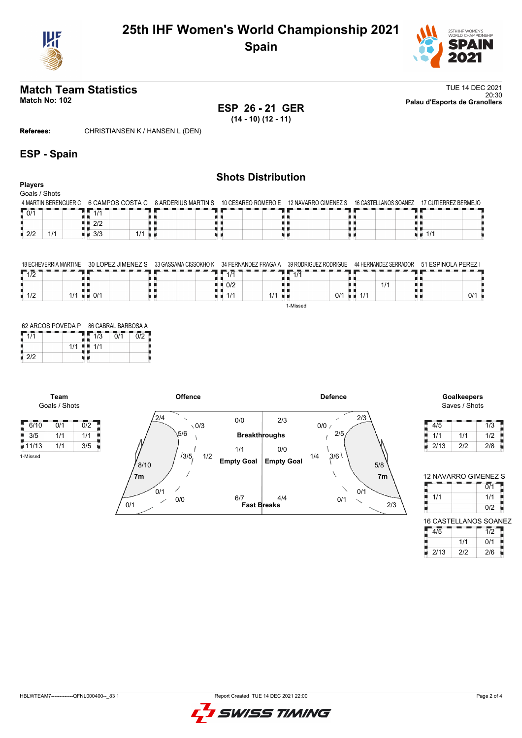



#### **Match Team Statistics** TUE 14 DEC 2021 20:30 **Match No: 102 Palau d'Esports de Granollers**

**ESP 26 - 21 GER (14 - 10) (12 - 11)**

**Referees:** CHRISTIANSEN K / HANSEN L (DEN)

### **ESP - Spain**

**Players**

# **Shots Distribution**

| <b>Flavels</b>            |                        |                                                                                                                                               |  |                                   |
|---------------------------|------------------------|-----------------------------------------------------------------------------------------------------------------------------------------------|--|-----------------------------------|
| Goals / Shots             |                        |                                                                                                                                               |  |                                   |
|                           |                        | 4 MARTIN BERENGUER C 6 CAMPOS COSTA C 8 ARDERIUS MARTIN S 10 CESAREO ROMERO E 12 NAVARRO GIMENEZ S 16 CASTELLANOS SOANEZ 17 GUTIERREZ BERMEJO |  |                                   |
| $\overline{10/1}$         | 1/1                    |                                                                                                                                               |  |                                   |
|                           | 2/2                    |                                                                                                                                               |  |                                   |
| 1/1<br>$\blacksquare$ 2/2 | 3/3<br>$1/1$ <b>ii</b> |                                                                                                                                               |  | $\blacksquare$ $\blacksquare$ 1/1 |
|                           |                        |                                                                                                                                               |  |                                   |

| 18 ECHEVERRIA MARTINE | 30 LOPEZ JIMENEZ S | -33 GASSAMA CISSOKHO K | 34 FERNANDEZ FRAGA A _ 39 RODRIGUEZ RODRIGUE |     | 44 HERNANDEZ SERRADOR      51 ESPINOLA PEREZ |  |
|-----------------------|--------------------|------------------------|----------------------------------------------|-----|----------------------------------------------|--|
| $\sqrt{410}$          |                    |                        | $\overline{A}$ $\overline{A}$                |     |                                              |  |
|                       |                    |                        | $\blacksquare$ 0/2                           |     |                                              |  |
| $\blacksquare$ 1/2    | 0/2                |                        | 111<br>1/1                                   | 0/1 |                                              |  |

1-Missed

| 62 ARCOS POVEDA P 86 CABRAL BARBOSA A |     |     |  |
|---------------------------------------|-----|-----|--|
|                                       |     | 1/3 |  |
|                                       | 1/1 | 1/1 |  |
| 212                                   |     |     |  |

**Team** Goals / Shots

1-Missed





| 4/5  |     | 1/3 |
|------|-----|-----|
| 1/1  | 1/1 | 1/2 |
| 2/13 | 2/2 | 2/8 |

| 12 NAVARRO GIMENEZ S |     |                       |  |  |  |  |  |  |  |  |  |
|----------------------|-----|-----------------------|--|--|--|--|--|--|--|--|--|
|                      |     | 0/1                   |  |  |  |  |  |  |  |  |  |
| 1/1                  |     | 1/1                   |  |  |  |  |  |  |  |  |  |
|                      |     | 0/2                   |  |  |  |  |  |  |  |  |  |
|                      |     | 16 CASTELLANOS SOANEZ |  |  |  |  |  |  |  |  |  |
| 4/5                  |     | 1/2                   |  |  |  |  |  |  |  |  |  |
|                      | 1/1 | 0/1                   |  |  |  |  |  |  |  |  |  |
| 2/13                 | 212 | 2/6                   |  |  |  |  |  |  |  |  |  |

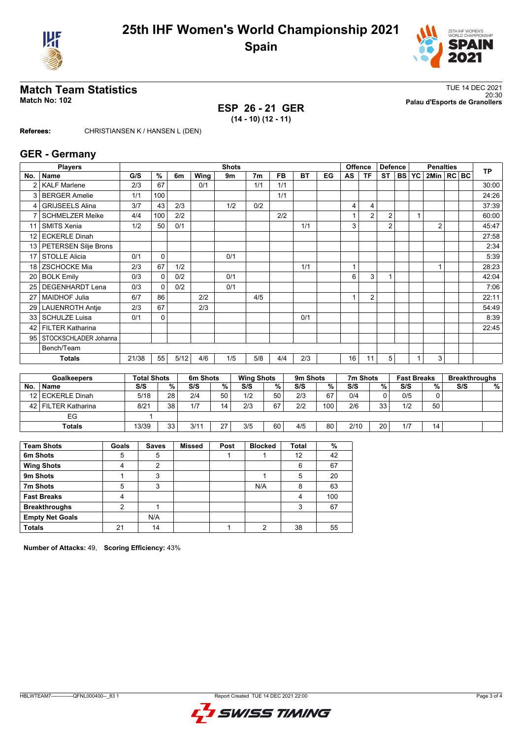



# **ESP 26 - 21 GER (14 - 10) (12 - 11)**

**Match Team Statistics**<br>Match No: 102<br>Palau d'Esports de Granollers 20:30 **Match No: 102 Palau d'Esports de Granollers**

**Referees:** CHRISTIANSEN K / HANSEN L (DEN)

### **GER - Germany**

|                 | <b>Players</b>          |       |                    |      |                                           | <b>Shots</b> |                |           |           |          |    | Offence<br><b>Defence</b> |                    |           | <b>Penalties</b> |                |                      |  | <b>TP</b> |
|-----------------|-------------------------|-------|--------------------|------|-------------------------------------------|--------------|----------------|-----------|-----------|----------|----|---------------------------|--------------------|-----------|------------------|----------------|----------------------|--|-----------|
| No.             | <b>Name</b>             | G/S   | %                  | 6m   | Wing                                      | 9m           | 7 <sub>m</sub> | <b>FB</b> | <b>BT</b> | EG       | AS | <b>TF</b>                 | <b>ST</b>          | <b>BS</b> | <b>YC</b>        | 2Min   RC   BC |                      |  |           |
|                 | <b>KALF Marlene</b>     | 2/3   | 67                 |      | 0/1                                       |              | 1/1            | 1/1       |           |          |    |                           |                    |           |                  |                |                      |  | 30:00     |
| 3               | <b>BERGER Amelie</b>    | 1/1   | 100                |      |                                           |              |                | 1/1       |           |          |    |                           |                    |           |                  |                |                      |  | 24:26     |
|                 | <b>GRIJSEELS Alina</b>  | 3/7   | 43                 | 2/3  |                                           | 1/2          | 0/2            |           |           |          | 4  | 4                         |                    |           |                  |                |                      |  | 37:39     |
|                 | <b>SCHMELZER Meike</b>  | 4/4   | 100                | 2/2  |                                           |              |                | 2/2       |           |          |    | $\overline{2}$            | $\overline{2}$     |           |                  |                |                      |  | 60:00     |
| 11              | <b>SMITS Xenia</b>      | 1/2   | 50                 | 0/1  |                                           |              |                |           | 1/1       |          | 3  |                           | $\overline{2}$     |           |                  | $\overline{2}$ |                      |  | 45:47     |
| 12              | <b>ECKERLE Dinah</b>    |       |                    |      |                                           |              |                |           |           |          |    |                           |                    |           |                  |                |                      |  | 27:58     |
| 13 <sup>1</sup> | PETERSEN Silje Brons    |       |                    |      |                                           |              |                |           |           |          |    |                           |                    |           |                  |                |                      |  | 2:34      |
| 17              | <b>STOLLE Alicia</b>    | 0/1   | 0                  |      |                                           | 0/1          |                |           |           |          |    |                           |                    |           |                  |                |                      |  | 5:39      |
| 18              | <b>ZSCHOCKE Mia</b>     | 2/3   | 67                 | 1/2  |                                           |              |                |           | 1/1       |          | 1  |                           |                    |           |                  | 1              |                      |  | 28:23     |
| 20              | <b>BOLK Emily</b>       | 0/3   | $\Omega$           | 0/2  |                                           | 0/1          |                |           |           |          | 6  | 3                         | 1                  |           |                  |                |                      |  | 42:04     |
| 25              | <b>DEGENHARDT Lena</b>  | 0/3   | $\Omega$           | 0/2  |                                           | 0/1          |                |           |           |          |    |                           |                    |           |                  |                |                      |  | 7:06      |
| 27              | <b>MAIDHOF Julia</b>    | 6/7   | 86                 |      | 2/2                                       |              | 4/5            |           |           |          |    | $\overline{2}$            |                    |           |                  |                |                      |  | 22:11     |
| 29              | <b>LAUENROTH Antje</b>  | 2/3   | 67                 |      | 2/3                                       |              |                |           |           |          |    |                           |                    |           |                  |                |                      |  | 54:49     |
| 33              | <b>SCHULZE Luisa</b>    | 0/1   | $\Omega$           |      |                                           |              |                |           | 0/1       |          |    |                           |                    |           |                  |                |                      |  | 8:39      |
| 42              | <b>FILTER Katharina</b> |       |                    |      |                                           |              |                |           |           |          |    |                           |                    |           |                  |                |                      |  | 22:45     |
| 95              | STOCKSCHLADER Johanna   |       |                    |      |                                           |              |                |           |           |          |    |                           |                    |           |                  |                |                      |  |           |
|                 | Bench/Team              |       |                    |      |                                           |              |                |           |           |          |    |                           |                    |           |                  |                |                      |  |           |
|                 | <b>Totals</b>           | 21/38 | 55                 | 5/12 | 4/6                                       | 1/5          | 5/8            | 4/4       | 2/3       |          | 16 | 11                        | 5                  |           |                  | 3              |                      |  |           |
|                 |                         |       |                    |      |                                           |              |                |           |           |          |    |                           |                    |           |                  |                |                      |  |           |
|                 | <b>Goalkeepers</b>      |       | <b>Total Shots</b> |      | 6m Shots<br><b>Wing Shots</b><br>9m Shots |              |                |           |           | 7m Shots |    |                           | <b>Fast Breaks</b> |           |                  |                | <b>Breakthroughs</b> |  |           |

|     | Goalkeepers         | Total Shots |    | <b>6m Shots</b> |    | wing Shots |    | <b>9m Shots</b> |     | <i>I'</i> m Shots |                 | <b>Fast Breaks</b> |    | <b>Breakthroughs</b> |   |
|-----|---------------------|-------------|----|-----------------|----|------------|----|-----------------|-----|-------------------|-----------------|--------------------|----|----------------------|---|
| No. | <b>Name</b>         | S/S         | %. | S/S             | %  | S/S        | %  | S/S             | %   | S/S               | %               | S/S                | %  | S/S                  | % |
|     | 12 ECKERLE Dinah    | 5/18        | 28 | 2/4             | 50 | 1/2        | 50 | 2/3             | 67  | 0/4               |                 | 0/5                |    |                      |   |
|     | 42 FILTER Katharina | 8/21        | 38 | 1/7             | 14 | 2/3        | 67 | 2/2             | 100 | 2/6               | 33              | 1/2                | 50 |                      |   |
|     | EG                  |             |    |                 |    |            |    |                 |     |                   |                 |                    |    |                      |   |
|     | <b>Totals</b>       | 13/39       | 33 | 3/11            | 27 | 3/5        | 60 | 4/5             | 80  | 2/10              | 20 <sub>1</sub> | 1/7                | 14 |                      |   |

| <b>Team Shots</b>      | Goals | <b>Saves</b>   | <b>Missed</b> | Post | <b>Blocked</b> | <b>Total</b> | %   |
|------------------------|-------|----------------|---------------|------|----------------|--------------|-----|
| 6m Shots               | 5     | 5              |               |      |                | 12           | 42  |
| <b>Wing Shots</b>      | 4     | $\overline{2}$ |               |      |                | 6            | 67  |
| 9m Shots               |       | 3              |               |      |                | 5            | 20  |
| 7m Shots               | 5     | 3              |               |      | N/A            | 8            | 63  |
| <b>Fast Breaks</b>     | 4     |                |               |      |                | Λ            | 100 |
| <b>Breakthroughs</b>   | 2     |                |               |      |                | 3            | 67  |
| <b>Empty Net Goals</b> |       | N/A            |               |      |                |              |     |
| <b>Totals</b>          | 21    | 14             |               |      | ◠              | 38           | 55  |

**Number of Attacks:** 49, **Scoring Efficiency:** 43%